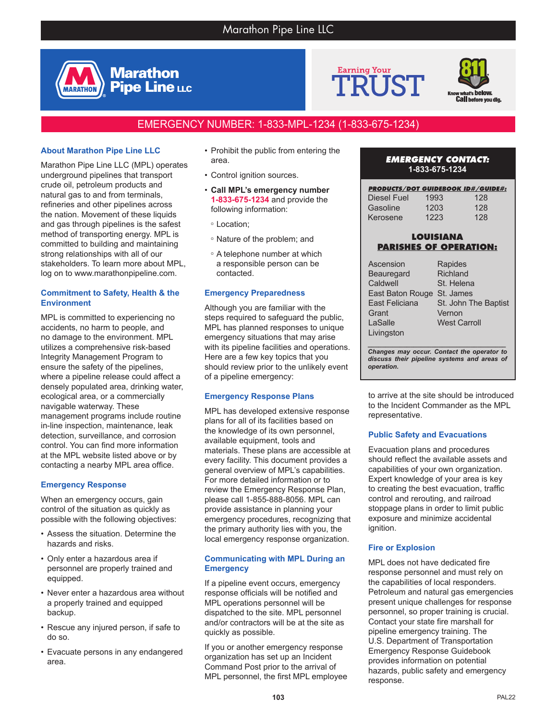





# EMERGENCY NUMBER: 1-833-MPL-1234 (1-833-675-1234)

# **About Marathon Pipe Line LLC**

**MARATHON** 

Marathon Pipe Line LLC (MPL) operates underground pipelines that transport crude oil, petroleum products and natural gas to and from terminals, refineries and other pipelines across the nation. Movement of these liquids and gas through pipelines is the safest method of transporting energy. MPL is committed to building and maintaining strong relationships with all of our stakeholders. To learn more about MPL, log on to www.marathonpipeline.com.

### **Commitment to Safety, Health & the Environment**

MPL is committed to experiencing no accidents, no harm to people, and no damage to the environment. MPL utilizes a comprehensive risk-based Integrity Management Program to ensure the safety of the pipelines, where a pipeline release could affect a densely populated area, drinking water, ecological area, or a commercially navigable waterway. These management programs include routine in-line inspection, maintenance, leak detection, surveillance, and corrosion control. You can find more information at the MPL website listed above or by contacting a nearby MPL area office.

# **Emergency Response**

When an emergency occurs, gain control of the situation as quickly as possible with the following objectives:

- Assess the situation. Determine the hazards and risks.
- Only enter a hazardous area if personnel are properly trained and equipped.
- Never enter a hazardous area without a properly trained and equipped backup.
- Rescue any injured person, if safe to do so.
- Evacuate persons in any endangered area.
- Prohibit the public from entering the area.
- Control ignition sources.
- **Call MPL's emergency number 1-833-675-1234** and provide the following information:
- <sup>o</sup> Location;
- <sup>o</sup> Nature of the problem; and
- <sup>o</sup> A telephone number at which a responsible person can be contacted.

#### **Emergency Preparedness**

Although you are familiar with the steps required to safeguard the public, MPL has planned responses to unique emergency situations that may arise with its pipeline facilities and operations. Here are a few key topics that you should review prior to the unlikely event of a pipeline emergency:

#### **Emergency Response Plans**

MPL has developed extensive response plans for all of its facilities based on the knowledge of its own personnel, available equipment, tools and materials. These plans are accessible at every facility. This document provides a general overview of MPL's capabilities. For more detailed information or to review the Emergency Response Plan, please call 1-855-888-8056. MPL can provide assistance in planning your emergency procedures, recognizing that the primary authority lies with you, the local emergency response organization.

#### **Communicating with MPL During an Emergency**

If a pipeline event occurs, emergency response officials will be notified and MPL operations personnel will be dispatched to the site. MPL personnel and/or contractors will be at the site as quickly as possible.

If you or another emergency response organization has set up an Incident Command Post prior to the arrival of MPL personnel, the first MPL employee

### *EMERGENCY CONTACT:* **1-833-675-1234**

| <b>PRODUCTS/DOT GUIDEBOOK ID#/GUIDE#:</b> |      |     |
|-------------------------------------------|------|-----|
| Diesel Fuel                               | 1993 | 128 |
| Gasoline                                  | 1203 | 128 |
| Kerosene                                  | 1223 | 128 |

## **LOUISIANA PARISHES OF OPERATION:**

| Ascension                                 | Rapides              |  |
|-------------------------------------------|----------------------|--|
| <b>Beauregard</b>                         | Richland             |  |
| Caldwell                                  | St. Helena           |  |
| East Baton Rouge                          | St. James            |  |
| East Feliciana                            | St. John The Baptist |  |
| Grant                                     | Vernon               |  |
| LaSalle                                   | <b>West Carroll</b>  |  |
| Livingston                                |                      |  |
|                                           |                      |  |
| Changes may occur Contact the energies to |                      |  |

*Changes may occur. Contact the operator to discuss their pipeline systems and areas of operation.*

to arrive at the site should be introduced to the Incident Commander as the MPL representative.

# **Public Safety and Evacuations**

Evacuation plans and procedures should reflect the available assets and capabilities of your own organization. Expert knowledge of your area is key to creating the best evacuation, traffic control and rerouting, and railroad stoppage plans in order to limit public exposure and minimize accidental ignition.

# **Fire or Explosion**

MPL does not have dedicated fire response personnel and must rely on the capabilities of local responders. Petroleum and natural gas emergencies present unique challenges for response personnel, so proper training is crucial. Contact your state fire marshall for pipeline emergency training. The U.S. Department of Transportation Emergency Response Guidebook provides information on potential hazards, public safety and emergency response.